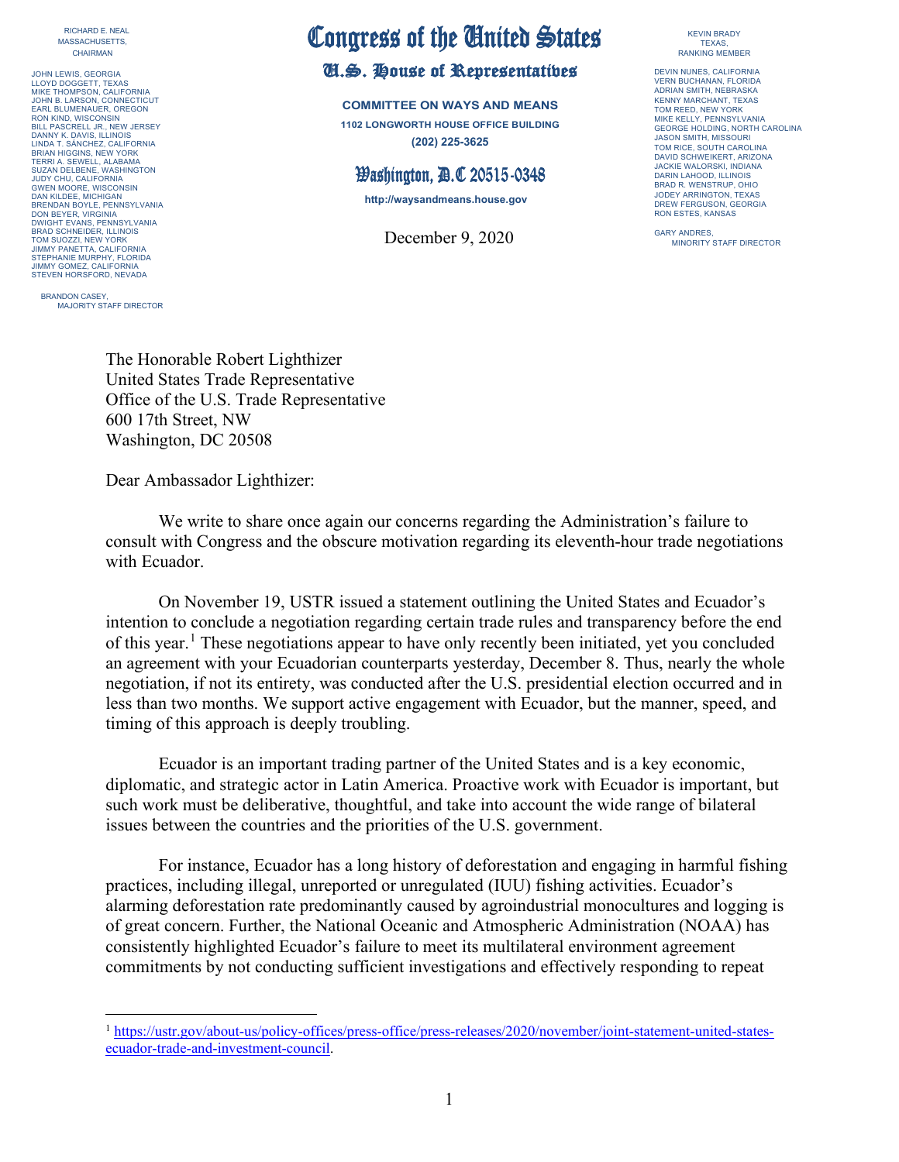RICHARD E. NEAL MASSACHUSETTS, CHAIRMAN

JOHN LEWIS, GEORGIA LLOYD DOGGETT, TEXAS MIKE THOMPSON, CALIFORNIA JOHN B. LARSON, CONNECTICUT EARL BLUMENAUER, OREGON RON KIND, WISCONSIN BILL PASCRELL JR., NEW JERSEY DANNY K. DAVIS, ILLINOIS LINDA T. SÁNCHEZ, CALIFORNIA BRIAN HIGGINS, NEW YORK TERRI A. SEWELL, ALABAMA SUZAN DELBENE, WASHINGTON JUDY CHU, CALIFORNIA GWEN MOORE, WISCONSIN DAN KILDEE, MICHIGAN BRENDAN BOYLE, PENNSYLVANIA DON BEYER, VIRGINIA DWIGHT EVANS, PENNSYLVANIA BRAD SCHNEIDER, ILLINOIS TOM SUOZZI, NEW YORK JIMMY PANETTA, CALIFORNIA STEPHANIE MURPHY, FLORIDA JIMMY GOMEZ, CALIFORNIA STEVEN HORSFORD, NEVADA

BRANDON CASEY MAJORITY STAFF DIRECTOR

## Congress of the United States<br>U.S. House of Representatives

**COMMITTEE ON WAYS AND MEANS 1102 LONGWORTH HOUSE OFFICE BUILDING (202) 225-3625**

## **Washington, D.C 20515-0348**

**http://waysandmeans.house.gov**

December 9, 2020 GARY ANDRES,

KEVIN BRADY TEXAS, RANKING MEMBER

DEVIN NUNES, CALIFORNIA VERN BUCHANAN, FLORIDA ADRIAN SMITH, NEBRASKA KENNY MARCHANT, TEXAS TOM REED, NEW YORK MIKE KELLY, PENNSYLVANIA GEORGE HOLDING, NORTH CAROLINA JASON SMITH, MISSOURI TOM RICE, SOUTH CAROLINA DAVID SCHWEIKERT, ARIZONA JACKIE WALORSKI, INDIANA DARIN LAHOOD, ILLINOIS BRAD R. WENSTRUP, OHIO JODEY ARRINGTON, TEXAS DREW FERGUSON, GEORGIA RON ESTES, KANSAS

The Honorable Robert Lighthizer United States Trade Representative Office of the U.S. Trade Representative 600 17th Street, NW Washington, DC 20508

Dear Ambassador Lighthizer:

We write to share once again our concerns regarding the Administration's failure to consult with Congress and the obscure motivation regarding its eleventh-hour trade negotiations with Ecuador.

On November 19, USTR issued a statement outlining the United States and Ecuador's intention to conclude a negotiation regarding certain trade rules and transparency before the end of this year.<sup>[1](#page-0-0)</sup> These negotiations appear to have only recently been initiated, yet you concluded an agreement with your Ecuadorian counterparts yesterday, December 8. Thus, nearly the whole negotiation, if not its entirety, was conducted after the U.S. presidential election occurred and in less than two months. We support active engagement with Ecuador, but the manner, speed, and timing of this approach is deeply troubling.

Ecuador is an important trading partner of the United States and is a key economic, diplomatic, and strategic actor in Latin America. Proactive work with Ecuador is important, but such work must be deliberative, thoughtful, and take into account the wide range of bilateral issues between the countries and the priorities of the U.S. government.

For instance, Ecuador has a long history of deforestation and engaging in harmful fishing practices, including illegal, unreported or unregulated (IUU) fishing activities. Ecuador's alarming deforestation rate predominantly caused by agroindustrial monocultures and logging is of great concern. Further, the National Oceanic and Atmospheric Administration (NOAA) has consistently highlighted Ecuador's failure to meet its multilateral environment agreement commitments by not conducting sufficient investigations and effectively responding to repeat

<span id="page-0-0"></span><sup>1</sup> [https://ustr.gov/about-us/policy-offices/press-office/press-releases/2020/november/joint-statement-united-states](https://ustr.gov/about-us/policy-offices/press-office/press-releases/2020/november/joint-statement-united-states-ecuador-trade-and-investment-council)[ecuador-trade-and-investment-council.](https://ustr.gov/about-us/policy-offices/press-office/press-releases/2020/november/joint-statement-united-states-ecuador-trade-and-investment-council)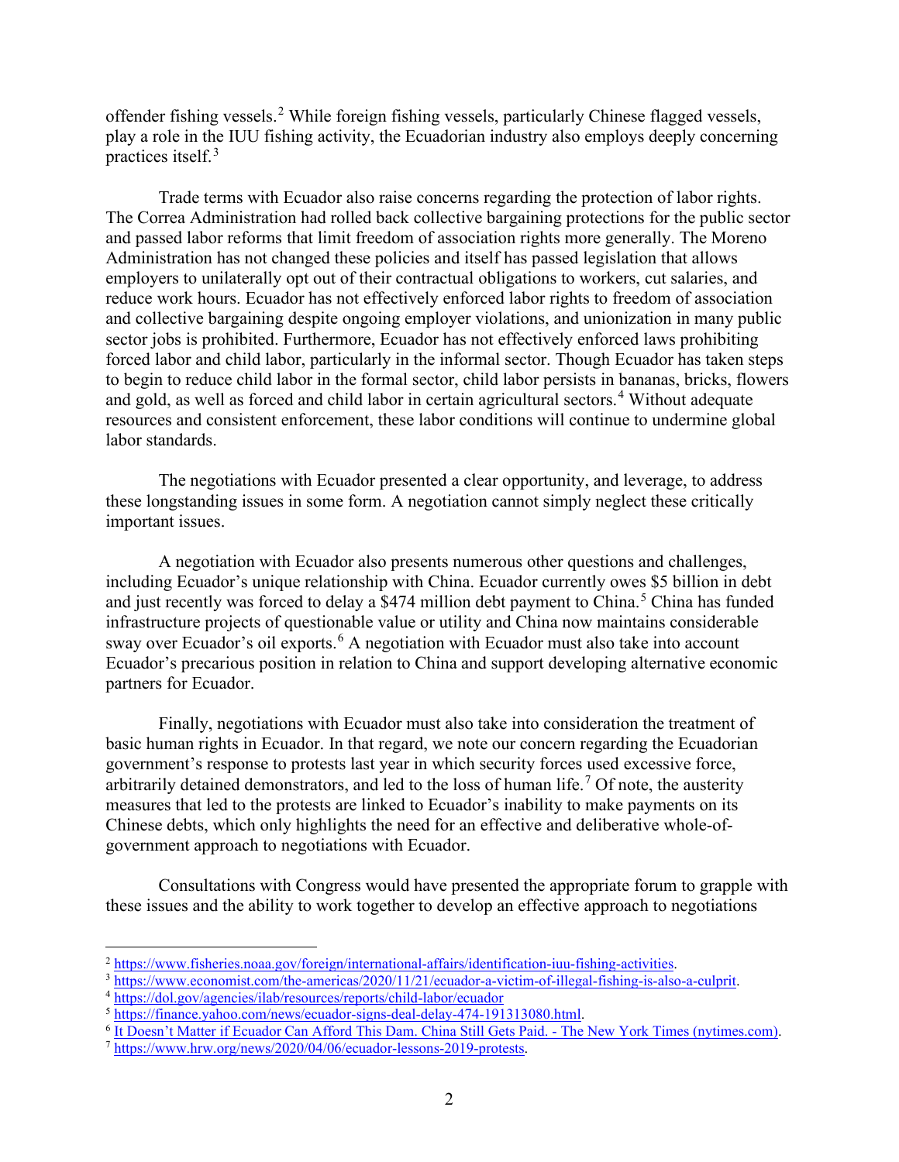offender fishing vessels.[2](#page-1-0) While foreign fishing vessels, particularly Chinese flagged vessels, play a role in the IUU fishing activity, the Ecuadorian industry also employs deeply concerning practices itself. [3](#page-1-1)

Trade terms with Ecuador also raise concerns regarding the protection of labor rights. The Correa Administration had rolled back collective bargaining protections for the public sector and passed labor reforms that limit freedom of association rights more generally. The Moreno Administration has not changed these policies and itself has passed legislation that allows employers to unilaterally opt out of their contractual obligations to workers, cut salaries, and reduce work hours. Ecuador has not effectively enforced labor rights to freedom of association and collective bargaining despite ongoing employer violations, and unionization in many public sector jobs is prohibited. Furthermore, Ecuador has not effectively enforced laws prohibiting forced labor and child labor, particularly in the informal sector. Though Ecuador has taken steps to begin to reduce child labor in the formal sector, child labor persists in bananas, bricks, flowers and gold, as well as forced and child labor in certain agricultural sectors.<sup>[4](#page-1-2)</sup> Without adequate resources and consistent enforcement, these labor conditions will continue to undermine global labor standards.

The negotiations with Ecuador presented a clear opportunity, and leverage, to address these longstanding issues in some form. A negotiation cannot simply neglect these critically important issues.

A negotiation with Ecuador also presents numerous other questions and challenges, including Ecuador's unique relationship with China. Ecuador currently owes \$5 billion in debt and just recently was forced to delay a \$474 million debt payment to China.<sup>[5](#page-1-3)</sup> China has funded infrastructure projects of questionable value or utility and China now maintains considerable sway over Ecuador's oil exports.<sup>[6](#page-1-4)</sup> A negotiation with Ecuador must also take into account Ecuador's precarious position in relation to China and support developing alternative economic partners for Ecuador.

Finally, negotiations with Ecuador must also take into consideration the treatment of basic human rights in Ecuador. In that regard, we note our concern regarding the Ecuadorian government's response to protests last year in which security forces used excessive force, arbitrarily detained demonstrators, and led to the loss of human life.<sup>[7](#page-1-5)</sup> Of note, the austerity measures that led to the protests are linked to Ecuador's inability to make payments on its Chinese debts, which only highlights the need for an effective and deliberative whole-ofgovernment approach to negotiations with Ecuador.

Consultations with Congress would have presented the appropriate forum to grapple with these issues and the ability to work together to develop an effective approach to negotiations

<span id="page-1-1"></span><span id="page-1-0"></span> $\frac{\frac{2 \text{ https://www.fisheries.noaa.gov/foreign/internal-affairs/identification-iuu-fishing-activityities}}{\frac{3 \text{ https://www.economist.com/the-americas/2020/11/21/ecuador-a-viction-of-illegal-fishing-is-also-a-culprit}}{\frac{3 \text{ https://dol.gov/agencies/ilab/resources/reports/child-labor/ecuador}}{\frac{3 \text{ https://dol.gov/agencies/ilab/resources/reports/child-labor/ecuador}}{\frac{3 \text{ https://finance.vahoo.com/news/ecuador-signs-deal-delay-474-191313080.html}}$  $\frac{\frac{2 \text{ https://www.fisheries.noaa.gov/foreign/internal-affairs/identification-iuu-fishing-activityities}}{\frac{3 \text{ https://www.economist.com/the-americas/2020/11/21/ecuador-a-viction-of-illegal-fishing-is-also-a-culprit}}{\frac{3 \text{ https://dol.gov/agencies/ilab/resources/reports/child-labor/ecuador}}{\frac{3 \text{ https://dol.gov/agencies/ilab/resources/reports/child-labor/ecuador}}{\frac{3 \text{ https://finance.vahoo.com/news/ecuador-signs-deal-delay-474-191313080.html}}$  $\frac{\frac{2 \text{ https://www.fisheries.noaa.gov/foreign/internal-affairs/identification-iuu-fishing-activityities}}{\frac{3 \text{ https://www.economist.com/the-americas/2020/11/21/ecuador-a-viction-of-illegal-fishing-is-also-a-culprit}}{\frac{3 \text{ https://dol.gov/agencies/ilab/resources/reports/child-labor/ecuador}}{\frac{3 \text{ https://dol.gov/agencies/ilab/resources/reports/child-labor/ecuador}}{\frac{3 \text{ https://finance.vahoo.com/news/ecuador-signs-deal-delay-474-191313080.html}}$ 

<span id="page-1-2"></span>

<span id="page-1-4"></span><span id="page-1-3"></span> $\frac{6}{7}$  It Doesn't Matter if Ecuador Can Afford This Dam. China Still Gets Paid. - [The New York Times \(nytimes.com\).](https://www.nytimes.com/2018/12/24/world/americas/ecuador-china-dam.html)<br> $\frac{7}{7}$  [https://www.hrw.org/news/2020/04/06/ecuador-lessons-2019-protests.](https://www.hrw.org/news/2020/04/06/ecuador-lessons-2019-protests)

<span id="page-1-5"></span>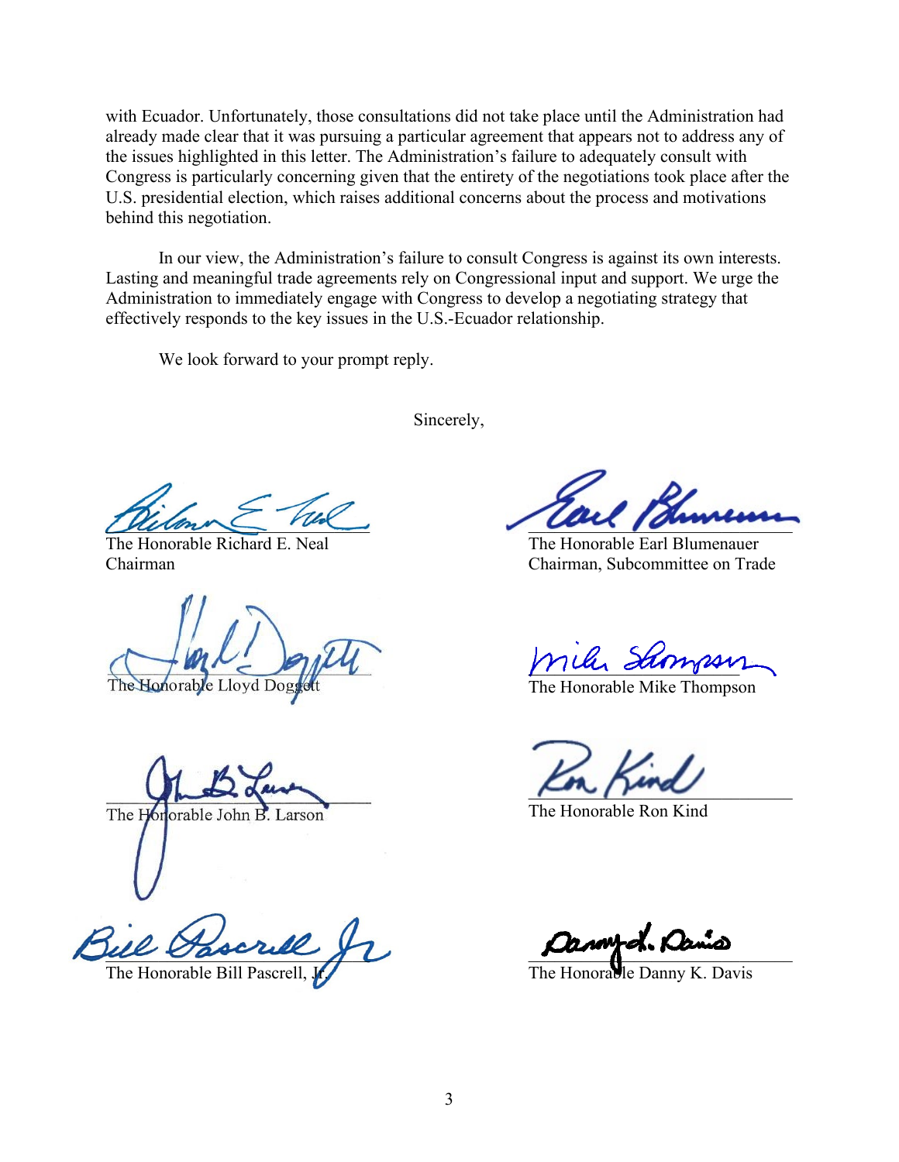with Ecuador. Unfortunately, those consultations did not take place until the Administration had already made clear that it was pursuing a particular agreement that appears not to address any of the issues highlighted in this letter. The Administration's failure to adequately consult with Congress is particularly concerning given that the entirety of the negotiations took place after the U.S. presidential election, which raises additional concerns about the process and motivations behind this negotiation.

In our view, the Administration's failure to consult Congress is against its own interests. Lasting and meaningful trade agreements rely on Congressional input and support. We urge the Administration to immediately engage with Congress to develop a negotiating strategy that effectively responds to the key issues in the U.S.-Ecuador relationship.

We look forward to your prompt reply.

Sincerely,

The Honorable Lloyd

The Hor orable John B. Larson

ue basque fl

 $D$ umme  $\mu$ 

The Honorable Richard E. Neal The Honorable Earl Blumenauer Chairman Chairman, Subcommittee on Trade

 $a$ , It

The Honorable Mike Thompson

 $\mu$ m /  $\mu$ ma

The Honorable Ron Kind

The Honorable Bill Pascrell, Jr. The Honorable Danny K. Davis